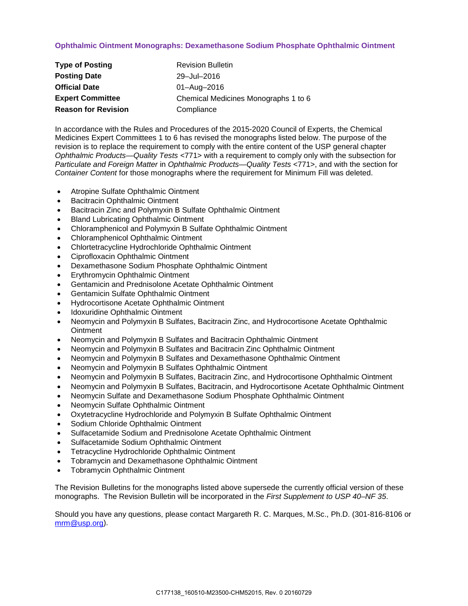## **Ophthalmic Ointment Monographs: Dexamethasone Sodium Phosphate Ophthalmic Ointment**

| <b>Type of Posting</b>     | <b>Revision Bulletin</b>             |
|----------------------------|--------------------------------------|
| <b>Posting Date</b>        | 29-Jul-2016                          |
| <b>Official Date</b>       | 01-Aug-2016                          |
| <b>Expert Committee</b>    | Chemical Medicines Monographs 1 to 6 |
| <b>Reason for Revision</b> | Compliance                           |

In accordance with the Rules and Procedures of the 2015-2020 Council of Experts, the Chemical Medicines Expert Committees 1 to 6 has revised the monographs listed below. The purpose of the revision is to replace the requirement to comply with the entire content of the USP general chapter *Ophthalmic Products—Quality Tests* <771> with a requirement to comply only with the subsection for *Particulate and Foreign Matter* in *Ophthalmic Products—Quality Tests* <771>, and with the section for *Container Content* for those monographs where the requirement for Minimum Fill was deleted.

- Atropine Sulfate Ophthalmic Ointment
- Bacitracin Ophthalmic Ointment
- Bacitracin Zinc and Polymyxin B Sulfate Ophthalmic Ointment
- Bland Lubricating Ophthalmic Ointment
- Chloramphenicol and Polymyxin B Sulfate Ophthalmic Ointment
- Chloramphenicol Ophthalmic Ointment
- Chlortetracycline Hydrochloride Ophthalmic Ointment
- Ciprofloxacin Ophthalmic Ointment
- Dexamethasone Sodium Phosphate Ophthalmic Ointment
- Erythromycin Ophthalmic Ointment
- Gentamicin and Prednisolone Acetate Ophthalmic Ointment
- Gentamicin Sulfate Ophthalmic Ointment
- Hydrocortisone Acetate Ophthalmic Ointment
- Idoxuridine Ophthalmic Ointment
- Neomycin and Polymyxin B Sulfates, Bacitracin Zinc, and Hydrocortisone Acetate Ophthalmic **Ointment**
- Neomycin and Polymyxin B Sulfates and Bacitracin Ophthalmic Ointment
- Neomycin and Polymyxin B Sulfates and Bacitracin Zinc Ophthalmic Ointment
- Neomycin and Polymyxin B Sulfates and Dexamethasone Ophthalmic Ointment
- Neomycin and Polymyxin B Sulfates Ophthalmic Ointment
- Neomycin and Polymyxin B Sulfates, Bacitracin Zinc, and Hydrocortisone Ophthalmic Ointment
- Neomycin and Polymyxin B Sulfates, Bacitracin, and Hydrocortisone Acetate Ophthalmic Ointment
- Neomycin Sulfate and Dexamethasone Sodium Phosphate Ophthalmic Ointment
- Neomycin Sulfate Ophthalmic Ointment
- Oxytetracycline Hydrochloride and Polymyxin B Sulfate Ophthalmic Ointment
- Sodium Chloride Ophthalmic Ointment
- Sulfacetamide Sodium and Prednisolone Acetate Ophthalmic Ointment
- Sulfacetamide Sodium Ophthalmic Ointment
- Tetracycline Hydrochloride Ophthalmic Ointment
- Tobramycin and Dexamethasone Ophthalmic Ointment
- Tobramycin Ophthalmic Ointment

The Revision Bulletins for the monographs listed above supersede the currently official version of these monographs. The Revision Bulletin will be incorporated in the *First Supplement to USP 40–NF 35*.

Should you have any questions, please contact Margareth R. C. Marques, M.Sc., Ph.D. (301-816-8106 or [mrm@usp.org\)](mailto:mrm@usp.org).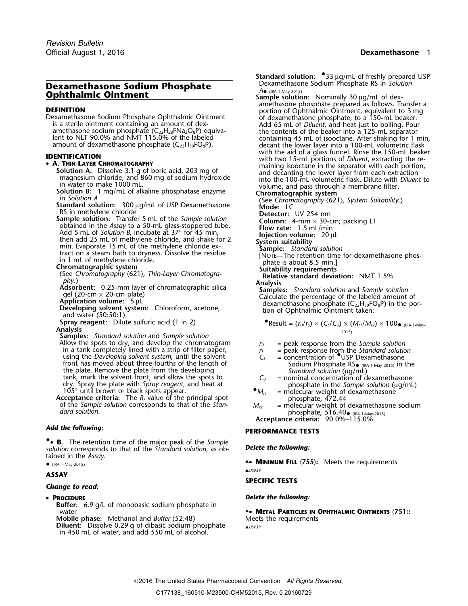# **Dexamethasone Sodium Phosphate** Dexamethasone Sodium Phosphate<br> **Ophthalmic Ointment Dexamethalmic Ointment**

- 
- 
- 
- **A. THIN-LAYER CHROMATOGRAPHY**<br> **Solution A:** Dissolve 3.1 g of boric acid, 203 mg of<br>
maining isooctane in the separator with each portion,<br>
magnesium chloride, and 860 mg of sodium hydroxide<br>
in water to make 1000 mL.

- 
- 

**Analysis**<br> **Samples:** *Standard solution* and *Sample solution*<br>
Allow the spots to dry, and develop the chromatogram  $r_{II} =$  peak response from th Allow the spots to dry, and develop the chromatogram  $r_U =$  peak response from the Sample solution<br>in a tank completely lined with a strip of filter paper,  $r_S =$  peak response from the Standard solution<br>using the Developin using the *Developing solvent system*, until the solvent front has moved about three-fourths of the length of Sodium Phosphate RS  $_{\text{CRA}}$  ( $_{\text{RRB}}$  about the plate. Remove the plate from the developing Standard solution ( $_{\text{LQ}}/_{\text{mL}}$ ) tank, mark the solvent front, and allow the spots to  $C_U$  = nominal concentration of dexamethasone

dry. Spray the plate with *Spray reagent*, and heat at<br>
105° until brown or black spots appear.<br> **Acceptance criteria:** The  $R_F$  value of the principal spot<br>
of the *Sample solution* corresponds to that of the *Stan-*<br> *M* 

•• **B.** The retention time of the major peak of the Sample **.**• **<sup>B</sup>.** The retention time of the major peak of the *Sample Delete the following: solution* corresponds to that of the *Standard solution*, as obtained in the *Assay*.

## (IRA 1-May-2015)

## **ASSAY**

## *Change to read:*

## • PROCEDURE

- **Buffer:** 6.9 g/L of monobasic sodium phosphate in
- **Mobile phase:** Methanol and *Buffer* (52:48) **Diluent:** Dissolve 0.29 g of dibasic sodium phosphate ▲ **A** USP39 in 450 mL of water, and add 550 mL of alcohol.

**Standard solution:**  $\degree$ **33 µg/mL of freshly prepared USP<br>Dexamethasone Sodium Phosphate RS in Solution** 

Sample solution: Nominally 30 µg/mL of dex-<br>amethasone phosphate prepared as follows. Transfer a **DEFINITION**<br>
Dexamethasone Sodium Phosphate Ophthalmic Ointment<br>
is a sterile ointment containing an amount of dex-<br>
amethasone phosphate, to a 150-mL beaker.<br>
amethasone sodium phosphate (C<sub>22</sub>H<sub>28</sub>FNa<sub>2</sub>O<sub>8</sub>P) equiva-<br> amount of dexamethasone phosphate (C<sub>22</sub>H<sub>30</sub>FO<sub>8</sub>P). decant the lower layer into a 100-mL volumetric flask<br> **IDENTIFICATION** with the aid of a glass funnel. Rinse the 150-mL beaker<br> **IDENTIFICATION** with two 15-mL portion

- 
- 
- 
- 
- 
- 
- 
- 
- 
- 
- 

malysis<br>
Adsorbent: 0.25-mm layer of chromatographic silica<br>
gel (20-cm × 20-cm plate)<br>
Application volume: 5 µL<br>
Developing solvent system: Chloroform, acetone,<br>
and water (50:50:1)<br>
and water (50:50:1)

 ${\sf Spray\ reagent:}\quad {\sf Dilute\ surface\ of}\ (1\ in\ 2) \qquad \qquad \bullet {\sf Result} = (r_U/r_S) \times (C_S/C_U) \times (M_{r1}/M_{r2}) \times 100\bullet$  (IRA 1-May-

- 
- 
- Sodium Phosphate  $RS_{\bullet}$  (IRA 1-May-2015) in the
- 
- 
- (IRA 1-May-2015) **Acceptance criteria:** 90.0%–115.0%

## *Add the following:* **PERFORMANCE TESTS**

**.**• **MINIMUM FILL** 〈**755**〉**:** Meets the requirements •▲*USP39*

## **SPECIFIC TESTS**

## *Delete the following:*

Water **A.• METAL PARTICLES IN OPHTHALMIC OINTMENTS**  $\langle 751 \rangle$ **:**<br>Mobile phase: Methanol and *Buffer* (52:48) Meets the requirements